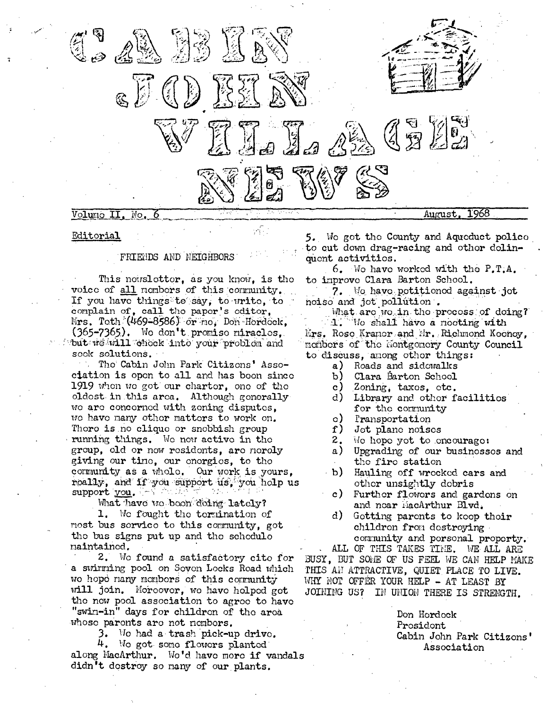

# Editorial

## FRIENDS AND NEIGHBORS

This nowslotter, as you know, is the voice of all nonbors of this community. If you have things to say, to write, to complain of, call the paper's editor, Mrs. Toth (469-8586) or me, Don Hordcek, (365-7365). Wo don't promiso miraclos. but we will chock into your problom and sook solutions.

Tho Cabin John Park Citizons' Association is open to all and has boon since 1919 when we got our charter, one of the oldost in this area. Although generally we are concerned with zening disputes, wo have many other matters to work on. Thoro is no clique or snobbish group running things. We now active in the group, old or now residents, are nerely giving our time, our energies, to the community as a whole. Our work is yours, roally, and if you support us, you holp us support you. a Palau

What have to boon doing lately?

1. We fought the termination of nost bus service to this community, got the bus signs put up and the schedulo maintained.

2. We found a satisfactory cite for a swirming pool on Soven Locks Road which we hope many members of this community will join. Moreover, we have helped get the new pool association to agree to have "swin-in" days for childron of the area whose paronts are not nembors.

3. Wo had a trash pick-up drive. 4. Wo got some flowers planted along MacArthur. Wo'd have more if vandals didn't destroy so many of our plants.

5. We got the County and Aqueduct police to cut down drag-racing and othor dolinquont activitios.

6. We have worked with the  $P.T.A.$ to improve Clara Barton School.

7. Wo have petitioned against jet noiso and jot pollution.

What are wo in the process of doing? 1. We shall have a mooting with

Krs. Roso Kranor and Mr. Richmond Koonoy. monbers of the montgonery County Council to discuss, among other things:

- a) Roads and sidowalks
- b) Clara Barton School
- $\mathbf{c}$ ) Zoning, taxos, otc.
- $d)$ Library and other facilities for the community
- $\circ$ ) Pransportation
- $f$ ) Jot plane noises
- 2. Wo hope yot to encourage:
- a) Upgrading of our businossos and the fire station
- $-b$ ) Hauling off wrocked cars and other unsightly debris
- $\mathbf{c}$ ) Furthor flowors and gardons on and near MacArthur Blvd.
- $d)$ Gotting parents to koop their childron from destroying community and porsonal proporty.

ALL OF THIS TAKES TIME. WE ALL ARE

BUSY, BUT SOME OF US FEEL WE CAN HELP MAKE THIS AN ATTRACTIVE, QUIET PLACE TO LIVE. WHY NOT OFFER YOUR HELP - AT LEAST BY JOINING US? IN UNION THERE IS STRENGTH.

> Don Hordock Prosidont Cabin John Park Citizons' Association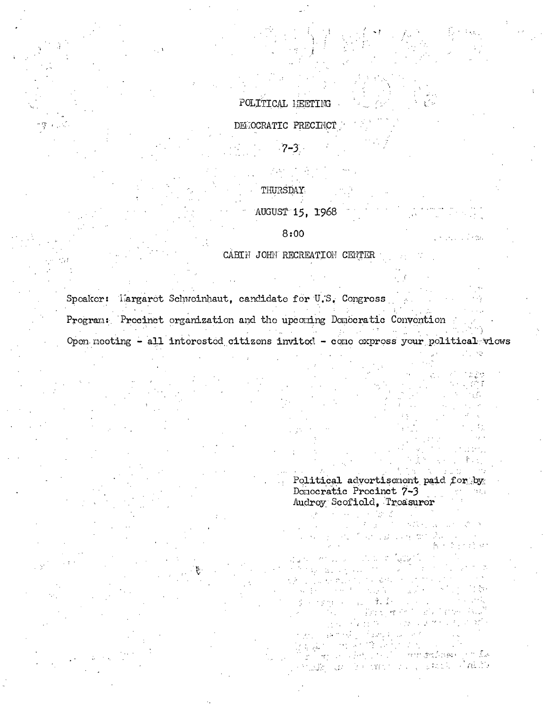# POLITICAL HEETING

DEMOCRATIC PRECIMCT

 $7 - 3$ 

# THURSDAY

AUGUST 15, 1968  $8:00$ 

CABIN JOHN RECREATION CENTER

Speaker: Largaret Schweinhaut, candidate for U.S. Congress Program: Procinct organization and the upcoming Donocratic Convention Open meeting - all interested citizens invited - come express your political views

> Political advortisement paid for by Donocratic Procinct 7-3 To big Audroy Scofield, Treasurer

mm gellowich in De ka mana na pamah Pakin alis an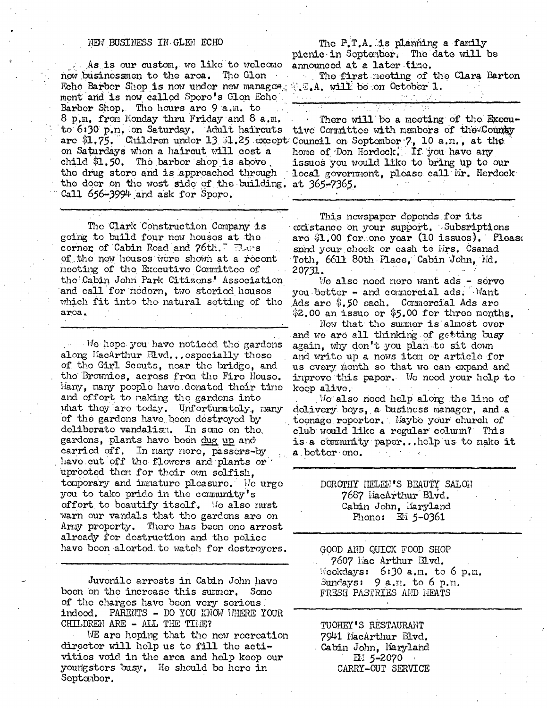#### NEW BUSINESS IN GLEN ECHO

As is our custom, we like to welcome announced at a later time. now businessmen to the area. The Glen Echo Barbor Shop is now under new manager,  $\mathbb{C}_n$ . will be on October 1. ment and is now called Sporo's Glon Echo Barbor Shop. The hours are 9 a.m. to 8 p.m. from Monday thru Friday and 8 a.m. to 6:30 p.m. on Saturday. Adult haircuts are \$1.75. Children under 13 \$1.25 except Council on September 7, 10 a.m., at the on Saturdays when a haircut will cost a home of Don Herdeck. If you have any child \$1.50. The barber shop is above the drug store and is approached through the door on the west side of the building. at 365-7365. Call 656-3994 and ask for Sporo.

The Clark Construction Company is going to build four now houses at the corner of Cabin Road and 76th. Dars of the new houses were shown at a recent meeting of the Executive Committee of the Cabin John Park Citizons' Association and call for modern, two storied houses which fit into the natural setting of the arca.

We hope you have noticed the gardons along MacArthur Elvd... ospecially those of the Girl Scouts, near the bridge, and the Brownies, across from the Fire House. Hany, nany pooplo havo donated their time and offort to naking the gardens into what they are today. Unfortunately, nany of the gardons have been destroyed by deliberate vandalism. In some on the, gardons, plants have been dug up and carried off. In many more, passers-by have cut off the flowers and plants or uprooted then for their own selfish, tomporary and immature pleasure. Mo urge you to take pride in the community's offort to beautify itself. We also must warn our vandals that tho gardons are on Army proporty. There has been one arrest alroady for dostruction and the police have been alerted to watch for destroyers.

Juvonilo arrosts in Cabin John havo boen on the increase this summer. Some of the charges have been very serious. indeed. PARENTS - DO YOU KNOW UHERE YOUR CHILDREN ARE - ALL THE TIME?

WE are hoping that the new recreation director will help us to fill the activities void in the area and help keep our youngstors busy. He should be here in Septembor.

The P.T.A. is planning a family picnic in Soptember. The date will be

The first meeting of the Clara Barton

 $\mathcal{L}^{\text{max}}(\mathcal{L})$ 

There will be a meeting of the Executive Committee with members of the County issues you would like to bring up to our local government, please call Mr. Herdeck

This nowspaper depends for its existance on your support. Subsriptions ard \$1.00 for one year (10 issues). Please snnd your check or cash to Mrs. Csanad Toth, 6611 80th Place, Cabin John, Nd. 20731.

We also need nore want ads - serve you better - and commorcial ads. Want Ads are \$.50 each. Commercial Ads are  $$2.00$  an issue or  $$5.00$  for three months.

Now that the surmer is almost over and we are all thinking of getting busy again, why don't you plan to sit down and write up a nows itom or article for us overy month so that we can expand and improve this paper. We need your help to koop alive.

We also need help along the line of dolivery boys, a business manager, and a toonage reporter. Maybe your church of club would like a regular column? This is a community paper...help us to make it a bottor ono.

> DOROTHY HELEN'S BEAUTY SALOH 7687 HacArthur Blvd. Cabin John, Maryland Phono: EM 5-0361

GOOD AND QUICK FOOD SHOP 7607 liac Arthur Blvd. Meekdays: 6:30 a.m. to 6 p.m. Sundays:  $9 a.m.$  to 6 p.m. FRESH PASTRIES AND HEATS

TUOHEY'S RESTAURANT 7941 MacArthur Blvd. Cabin John, Maryland 理: 5-2070 CARRY-OUT SERVICE